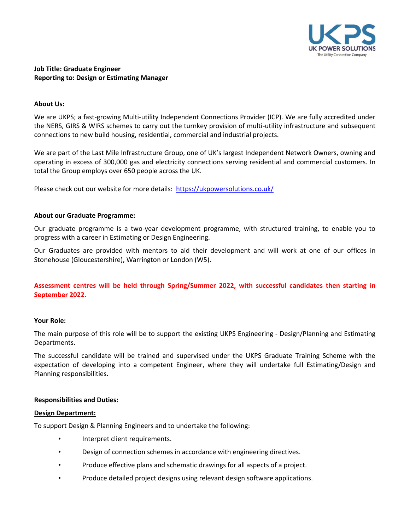

# **Job Title: Graduate Engineer Reporting to: Design or Estimating Manager**

### **About Us:**

We are UKPS; a fast-growing Multi-utility Independent Connections Provider (ICP). We are fully accredited under the NERS, GIRS & WIRS schemes to carry out the turnkey provision of multi-utility infrastructure and subsequent connections to new build housing, residential, commercial and industrial projects.

We are part of the Last Mile Infrastructure Group, one of UK's largest Independent Network Owners, owning and operating in excess of 300,000 gas and electricity connections serving residential and commercial customers. In total the Group employs over 650 people across the UK.

Please check out our website for more details: <https://ukpowersolutions.co.uk/>

### **About our Graduate Programme:**

Our graduate programme is a two-year development programme, with structured training, to enable you to progress with a career in Estimating or Design Engineering.

Our Graduates are provided with mentors to aid their development and will work at one of our offices in Stonehouse (Gloucestershire), Warrington or London (W5).

**Assessment centres will be held through Spring/Summer 2022, with successful candidates then starting in September 2022.**

#### **Your Role:**

The main purpose of this role will be to support the existing UKPS Engineering - Design/Planning and Estimating Departments.

The successful candidate will be trained and supervised under the UKPS Graduate Training Scheme with the expectation of developing into a competent Engineer, where they will undertake full Estimating/Design and Planning responsibilities.

#### **Responsibilities and Duties:**

#### **Design Department:**

To support Design & Planning Engineers and to undertake the following:

- Interpret client requirements.
- Design of connection schemes in accordance with engineering directives.
- Produce effective plans and schematic drawings for all aspects of a project.
- Produce detailed project designs using relevant design software applications.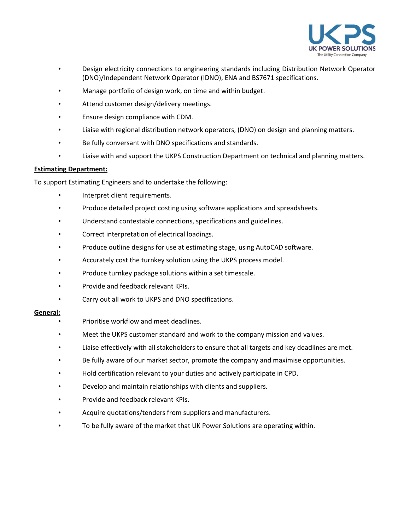

- Design electricity connections to engineering standards including Distribution Network Operator (DNO)/Independent Network Operator (IDNO), ENA and BS7671 specifications.
- Manage portfolio of design work, on time and within budget.
- Attend customer design/delivery meetings.
- Ensure design compliance with CDM.
- Liaise with regional distribution network operators, (DNO) on design and planning matters.
- Be fully conversant with DNO specifications and standards.
- Liaise with and support the UKPS Construction Department on technical and planning matters.

# **Estimating Department:**

To support Estimating Engineers and to undertake the following:

- Interpret client requirements.
- Produce detailed project costing using software applications and spreadsheets.
- Understand contestable connections, specifications and guidelines.
- Correct interpretation of electrical loadings.
- Produce outline designs for use at estimating stage, using AutoCAD software.
- Accurately cost the turnkey solution using the UKPS process model.
- Produce turnkey package solutions within a set timescale.
- Provide and feedback relevant KPIs.
- Carry out all work to UKPS and DNO specifications.

#### **General:**

- Prioritise workflow and meet deadlines.
- Meet the UKPS customer standard and work to the company mission and values.
- Liaise effectively with all stakeholders to ensure that all targets and key deadlines are met.
- Be fully aware of our market sector, promote the company and maximise opportunities.
- Hold certification relevant to your duties and actively participate in CPD.
- Develop and maintain relationships with clients and suppliers.
- Provide and feedback relevant KPIs.
- Acquire quotations/tenders from suppliers and manufacturers.
- To be fully aware of the market that UK Power Solutions are operating within.